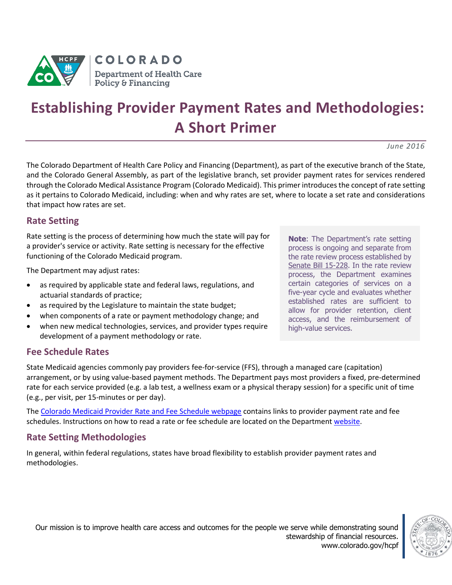

# **Establishing Provider Payment Rates and Methodologies: A Short Primer**

*June 2016*

The Colorado Department of Health Care Policy and Financing (Department), as part of the executive branch of the State, and the Colorado General Assembly, as part of the legislative branch, set provider payment rates for services rendered through the Colorado Medical Assistance Program (Colorado Medicaid). This primer introduces the concept of rate setting as it pertains to Colorado Medicaid, including: when and why rates are set, where to locate a set rate and considerations that impact how rates are set.

# **Rate Setting**

Rate setting is the process of determining how much the state will pay for a provider's service or activity. Rate setting is necessary for the effective functioning of the Colorado Medicaid program.

The Department may adjust rates:

- as required by applicable state and federal laws, regulations, and actuarial standards of practice;
- as required by the Legislature to maintain the state budget;
- when components of a rate or payment methodology change; and
- when new medical technologies, services, and provider types require development of a payment methodology or rate.

**Note**: The Department's rate setting process is ongoing and separate from the rate review process established by [Senate Bill 15-228.](https://www.colorado.gov/pacific/sites/default/files/SB15-228%20Enacted%20Bill.pdf) In the rate review process, the Department examines certain categories of services on a five-year cycle and evaluates whether established rates are sufficient to allow for provider retention, client access, and the reimbursement of high-value services.

# **Fee Schedule Rates**

State Medicaid agencies commonly pay providers fee-for-service (FFS), through a managed care (capitation) arrangement, or by using value-based payment methods. The Department pays most providers a fixed, pre-determined rate for each service provided (e.g. a lab test, a wellness exam or a physical therapy session) for a specific unit of time (e.g., per visit, per 15-minutes or per day).

The [Colorado Medicaid Provider Rate](https://www.colorado.gov/hcpf/provider-rates-fee-schedule) and Fee Schedule webpage contains links to provider payment rate and fee schedules. Instructions on how to read a rate or fee schedule are located on the Departmen[t website.](https://www.colorado.gov/pacific/sites/default/files/Jan2016%20instructions.pdf)

# **Rate Setting Methodologies**

In general, within federal regulations, states have broad flexibility to establish provider payment rates and methodologies.

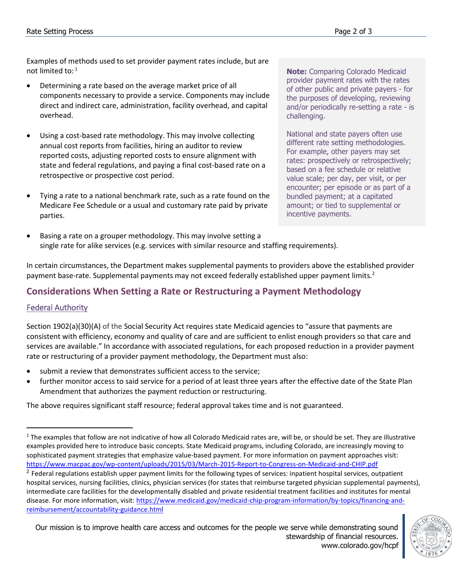Examples of methods used to set provider payment rates include, but are not limited to:  $^1$ 

- Determining a rate based on the average market price of all components necessary to provide a service. Components may include direct and indirect care, administration, facility overhead, and capital overhead.
- Using a cost-based rate methodology. This may involve collecting annual cost reports from facilities, hiring an auditor to review reported costs, adjusting reported costs to ensure alignment with state and federal regulations, and paying a final cost-based rate on a retrospective or prospective cost period.
- Tying a rate to a national benchmark rate, such as a rate found on the Medicare Fee Schedule or a usual and customary rate paid by private parties.

**Note:** Comparing Colorado Medicaid provider payment rates with the rates of other public and private payers - for the purposes of developing, reviewing and/or periodically re-setting a rate - is challenging.

National and state payers often use different rate setting methodologies. For example, other payers may set rates: prospectively or retrospectively; based on a fee schedule or relative value scale; per day, per visit, or per encounter; per episode or as part of a bundled payment; at a capitated amount; or tied to supplemental or incentive payments.

 Basing a rate on a grouper methodology. This may involve setting a single rate for alike services (e.g. services with similar resource and staffing requirements).

In certain circumstances, the Department makes supplemental payments to providers above the established provider payment base-rate. Supplemental payments may not exceed federally established upper payment limits.<sup>2</sup>

# **Considerations When Setting a Rate or Restructuring a Payment Methodology**

#### Federal Authority

 $\overline{a}$ 

Section 1902(a)(30)(A) of the Social Security Act requires state Medicaid agencies to "assure that payments are consistent with efficiency, economy and quality of care and are sufficient to enlist enough providers so that care and services are available." In accordance with associated regulations, for each proposed reduction in a provider payment rate or restructuring of a provider payment methodology, the Department must also:

- submit a review that demonstrates sufficient access to th[e service;](https://www.law.cornell.edu/definitions/index.php?width=840&height=800&iframe=true&def_id=d206a13ea8d40d5a1d001fd4c784e825&term_occur=21&term_src=Title:42:Chapter:IV:Subchapter:C:Part:447:Subpart:B:447.203)
- further monitor access to said service for a period of at least three years after the effective date of the State [Plan](https://www.law.cornell.edu/definitions/index.php?width=840&height=800&iframe=true&def_id=df31e4584c2598dab9683b9008987a74&term_occur=20&term_src=Title:42:Chapter:IV:Subchapter:C:Part:447:Subpart:B:447.203) Amendment that authorizes the [payment](https://www.law.cornell.edu/definitions/index.php?width=840&height=800&iframe=true&def_id=d66239b6cfc874cf42f9ff1eaaccf349&term_occur=13&term_src=Title:42:Chapter:IV:Subchapter:C:Part:447:Subpart:B:447.203) reduction or restructuring.

The above requires significant staff resource; federal approval takes time and is not guaranteed.



 $1$  The examples that follow are not indicative of how all Colorado Medicaid rates are, will be, or should be set. They are illustrative examples provided here to introduce basic concepts. State Medicaid programs, including Colorado, are increasingly moving to sophisticated payment strategies that emphasize value-based payment. For more information on payment approaches visit: <https://www.macpac.gov/wp-content/uploads/2015/03/March-2015-Report-to-Congress-on-Medicaid-and-CHIP.pdf> <sup>2</sup> Federal regulations establish upper payment limits for the following types of services: inpatient hospital services, outpatient hospital services, nursing facilities, clinics, physician services (for states that reimburse targeted physician supplemental payments), intermediate care facilities for the developmentally disabled and private residential treatment facilities and institutes for mental disease. For more information, visit: [https://www.medicaid.gov/medicaid-chip-program-information/by-topics/financing-and](https://www.medicaid.gov/medicaid-chip-program-information/by-topics/financing-and-reimbursement/accountability-guidance.html)[reimbursement/accountability-guidance.html](https://www.medicaid.gov/medicaid-chip-program-information/by-topics/financing-and-reimbursement/accountability-guidance.html)